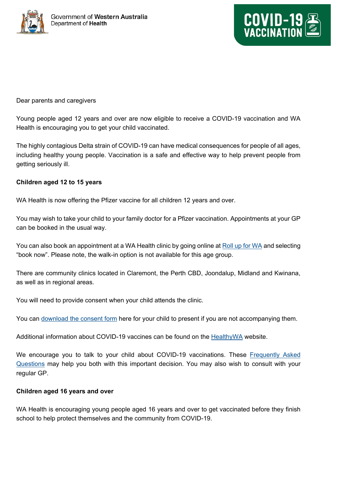



## Dear parents and caregivers

Young people aged 12 years and over are now eligible to receive a COVID-19 vaccination and WA Health is encouraging you to get your child vaccinated.

The highly contagious Delta strain of COVID-19 can have medical consequences for people of all ages, including healthy young people. Vaccination is a safe and effective way to help prevent people from getting seriously ill.

## **Children aged 12 to 15 years**

WA Health is now offering the Pfizer vaccine for all children 12 years and over.

You may wish to take your child to your family doctor for a Pfizer vaccination. Appointments at your GP can be booked in the usual way.

You can also book an appointment at a WA Health clinic by going online at [Roll up for WA](https://rollup.wa.gov.au/) and selecting "book now". Please note, the walk-in option is not available for this age group.

There are community clinics located in Claremont, the Perth CBD, Joondalup, Midland and Kwinana, as well as in regional areas.

You will need to provide consent when your child attends the clinic.

You can [download the consent form](https://www.healthywa.wa.gov.au/%7E/media/Corp/Documents/Health-for/Infectious-disease/COVID19/Vaccination/COVID19-Vaccine-Consent-Form-General-Public.pdf) here for your child to present if you are not accompanying them.

Additional information about COVID-19 vaccines can be found on the [HealthyWA](https://www.healthywa.wa.gov.au/Articles/A_E/Coronavirus/COVID19-vaccine/FAQs) website.

We encourage you to talk to your child about COVID-19 vaccinations. These Frequently Asked [Questions](https://www.healthywa.wa.gov.au/Articles/A_E/Coronavirus/COVID19-vaccine/FAQs) may help you both with this important decision. You may also wish to consult with your regular GP.

## **Children aged 16 years and over**

WA Health is encouraging young people aged 16 years and over to get vaccinated before they finish school to help protect themselves and the community from COVID-19.